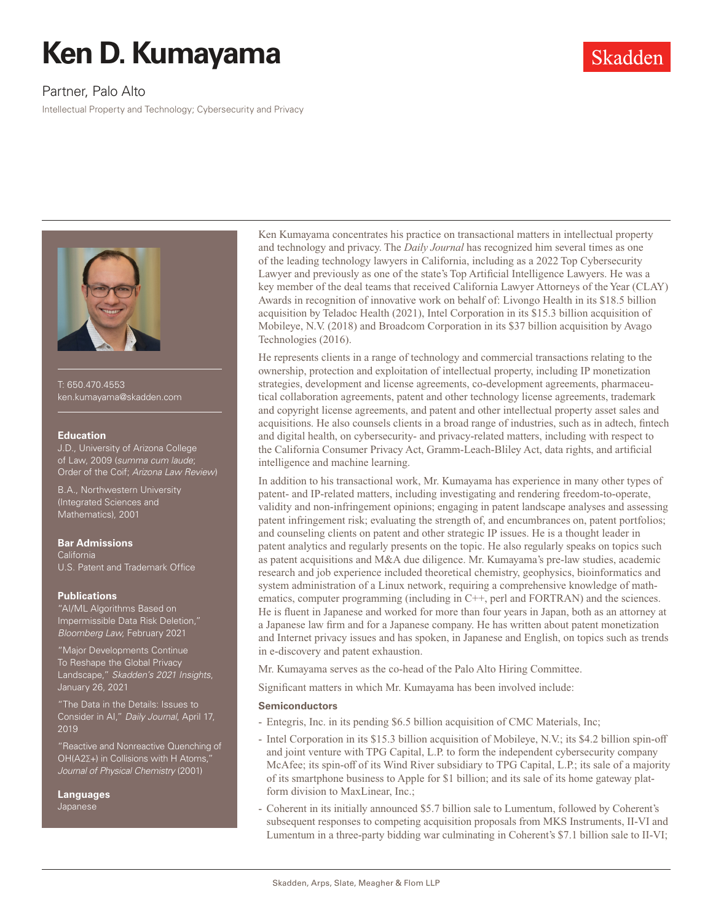# **Ken D. Kumayama**

# Partner, Palo Alto

Intellectual Property and Technology; Cybersecurity and Privacy



T: 650.470.4553 ken.kumayama@skadden.com

#### **Education**

J.D., University of Arizona College of Law, 2009 (*summa cum laude*; Order of the Coif; *Arizona Law Review*)

B.A., Northwestern University (Integrated Sciences and Mathematics), 2001

#### **Bar Admissions**

California U.S. Patent and Trademark Office

#### **Publications**

"AI/ML Algorithms Based on Impermissible Data Risk Deletion," *Bloomberg Law*, February 2021

"Major Developments Continue To Reshape the Global Privacy Landscape," *Skadden's 2021 Insights*, January 26, 2021

"The Data in the Details: Issues to Consider in AI," *Daily Journal*, April 17, 2019

"Reactive and Nonreactive Quenching of OH(A2∑+) in Collisions with H Atoms," *Journal of Physical Chemistry* (2001)

**Languages** Japanese

Ken Kumayama concentrates his practice on transactional matters in intellectual property and technology and privacy. The *Daily Journal* has recognized him several times as one of the leading technology lawyers in California, including as a 2022 Top Cybersecurity Lawyer and previously as one of the state's Top Artificial Intelligence Lawyers. He was a key member of the deal teams that received California Lawyer Attorneys of the Year (CLAY) Awards in recognition of innovative work on behalf of: Livongo Health in its \$18.5 billion acquisition by Teladoc Health (2021), Intel Corporation in its \$15.3 billion acquisition of Mobileye, N.V. (2018) and Broadcom Corporation in its \$37 billion acquisition by Avago Technologies (2016).

Skadden

He represents clients in a range of technology and commercial transactions relating to the ownership, protection and exploitation of intellectual property, including IP monetization strategies, development and license agreements, co-development agreements, pharmaceutical collaboration agreements, patent and other technology license agreements, trademark and copyright license agreements, and patent and other intellectual property asset sales and acquisitions. He also counsels clients in a broad range of industries, such as in adtech, fintech and digital health, on cybersecurity- and privacy-related matters, including with respect to the California Consumer Privacy Act, Gramm-Leach-Bliley Act, data rights, and artificial intelligence and machine learning.

In addition to his transactional work, Mr. Kumayama has experience in many other types of patent- and IP-related matters, including investigating and rendering freedom-to-operate, validity and non-infringement opinions; engaging in patent landscape analyses and assessing patent infringement risk; evaluating the strength of, and encumbrances on, patent portfolios; and counseling clients on patent and other strategic IP issues. He is a thought leader in patent analytics and regularly presents on the topic. He also regularly speaks on topics such as patent acquisitions and M&A due diligence. Mr. Kumayama's pre-law studies, academic research and job experience included theoretical chemistry, geophysics, bioinformatics and system administration of a Linux network, requiring a comprehensive knowledge of mathematics, computer programming (including in C++, perl and FORTRAN) and the sciences. He is fluent in Japanese and worked for more than four years in Japan, both as an attorney at a Japanese law firm and for a Japanese company. He has written about patent monetization and Internet privacy issues and has spoken, in Japanese and English, on topics such as trends in e-discovery and patent exhaustion.

Mr. Kumayama serves as the co-head of the Palo Alto Hiring Committee.

Significant matters in which Mr. Kumayama has been involved include:

# **Semiconductors**

- Entegris, Inc. in its pending \$6.5 billion acquisition of CMC Materials, Inc;
- Intel Corporation in its \$15.3 billion acquisition of Mobileye, N.V.; its \$4.2 billion spin-off and joint venture with TPG Capital, L.P. to form the independent cybersecurity company McAfee; its spin-off of its Wind River subsidiary to TPG Capital, L.P.; its sale of a majority of its smartphone business to Apple for \$1 billion; and its sale of its home gateway platform division to MaxLinear, Inc.;
- Coherent in its initially announced \$5.7 billion sale to Lumentum, followed by Coherent's subsequent responses to competing acquisition proposals from MKS Instruments, II-VI and Lumentum in a three-party bidding war culminating in Coherent's \$7.1 billion sale to II-VI;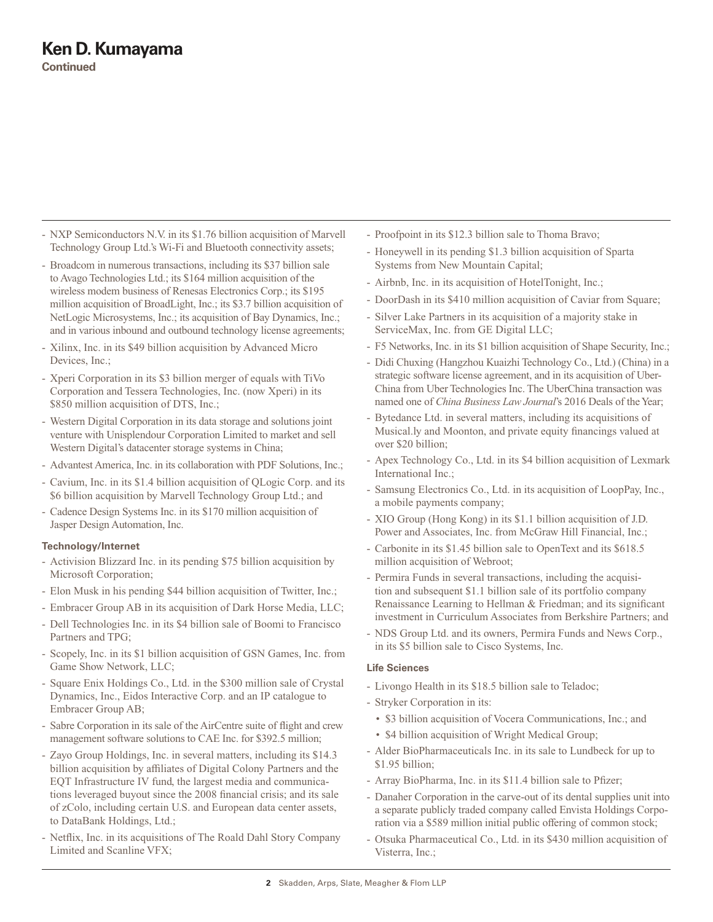- NXP Semiconductors N.V. in its \$1.76 billion acquisition of Marvell Technology Group Ltd.'s Wi-Fi and Bluetooth connectivity assets;
- Broadcom in numerous transactions, including its \$37 billion sale to Avago Technologies Ltd.; its \$164 million acquisition of the wireless modem business of Renesas Electronics Corp.; its \$195 million acquisition of BroadLight, Inc.; its \$3.7 billion acquisition of NetLogic Microsystems, Inc.; its acquisition of Bay Dynamics, Inc.; and in various inbound and outbound technology license agreements;
- Xilinx, Inc. in its \$49 billion acquisition by Advanced Micro Devices, Inc.;
- Xperi Corporation in its \$3 billion merger of equals with TiVo Corporation and Tessera Technologies, Inc. (now Xperi) in its \$850 million acquisition of DTS, Inc.;
- Western Digital Corporation in its data storage and solutions joint venture with Unisplendour Corporation Limited to market and sell Western Digital's datacenter storage systems in China;
- Advantest America, Inc. in its collaboration with PDF Solutions, Inc.;
- Cavium, Inc. in its \$1.4 billion acquisition of QLogic Corp. and its \$6 billion acquisition by Marvell Technology Group Ltd.; and
- Cadence Design Systems Inc. in its \$170 million acquisition of Jasper Design Automation, Inc.

# **Technology/Internet**

- Activision Blizzard Inc. in its pending \$75 billion acquisition by Microsoft Corporation;
- Elon Musk in his pending \$44 billion acquisition of Twitter, Inc.;
- Embracer Group AB in its acquisition of Dark Horse Media, LLC;
- Dell Technologies Inc. in its \$4 billion sale of Boomi to Francisco Partners and TPG;
- Scopely, Inc. in its \$1 billion acquisition of GSN Games, Inc. from Game Show Network, LLC;
- Square Enix Holdings Co., Ltd. in the \$300 million sale of Crystal Dynamics, Inc., Eidos Interactive Corp. and an IP catalogue to Embracer Group AB;
- Sabre Corporation in its sale of the AirCentre suite of flight and crew management software solutions to CAE Inc. for \$392.5 million;
- Zayo Group Holdings, Inc. in several matters, including its \$14.3 billion acquisition by affiliates of Digital Colony Partners and the EQT Infrastructure IV fund, the largest media and communications leveraged buyout since the 2008 financial crisis; and its sale of zColo, including certain U.S. and European data center assets, to DataBank Holdings, Ltd.;
- Netflix, Inc. in its acquisitions of The Roald Dahl Story Company Limited and Scanline VFX;
- Proofpoint in its \$12.3 billion sale to Thoma Bravo;
- Honeywell in its pending \$1.3 billion acquisition of Sparta Systems from New Mountain Capital;
- Airbnb, Inc. in its acquisition of HotelTonight, Inc.;
- DoorDash in its \$410 million acquisition of Caviar from Square;
- Silver Lake Partners in its acquisition of a majority stake in ServiceMax, Inc. from GE Digital LLC;
- F5 Networks, Inc. in its \$1 billion acquisition of Shape Security, Inc.;
- Didi Chuxing (Hangzhou Kuaizhi Technology Co., Ltd.) (China) in a strategic software license agreement, and in its acquisition of Uber-China from Uber Technologies Inc. The UberChina transaction was named one of *China Business Law Journal*'s 2016 Deals of the Year;
- Bytedance Ltd. in several matters, including its acquisitions of Musical.ly and Moonton, and private equity financings valued at over \$20 billion;
- Apex Technology Co., Ltd. in its \$4 billion acquisition of Lexmark International Inc.;
- Samsung Electronics Co., Ltd. in its acquisition of LoopPay, Inc., a mobile payments company;
- XIO Group (Hong Kong) in its \$1.1 billion acquisition of J.D. Power and Associates, Inc. from McGraw Hill Financial, Inc.;
- Carbonite in its \$1.45 billion sale to OpenText and its \$618.5 million acquisition of Webroot;
- Permira Funds in several transactions, including the acquisition and subsequent \$1.1 billion sale of its portfolio company Renaissance Learning to Hellman & Friedman; and its significant investment in Curriculum Associates from Berkshire Partners; and
- NDS Group Ltd. and its owners, Permira Funds and News Corp., in its \$5 billion sale to Cisco Systems, Inc.

# **Life Sciences**

- Livongo Health in its \$18.5 billion sale to Teladoc;
- Stryker Corporation in its:
	- \$3 billion acquisition of Vocera Communications, Inc.; and
	- \$4 billion acquisition of Wright Medical Group;
- Alder BioPharmaceuticals Inc. in its sale to Lundbeck for up to \$1.95 billion;
- Array BioPharma, Inc. in its \$11.4 billion sale to Pfizer;
- Danaher Corporation in the carve-out of its dental supplies unit into a separate publicly traded company called Envista Holdings Corporation via a \$589 million initial public offering of common stock;
- Otsuka Pharmaceutical Co., Ltd. in its \$430 million acquisition of Visterra, Inc.;